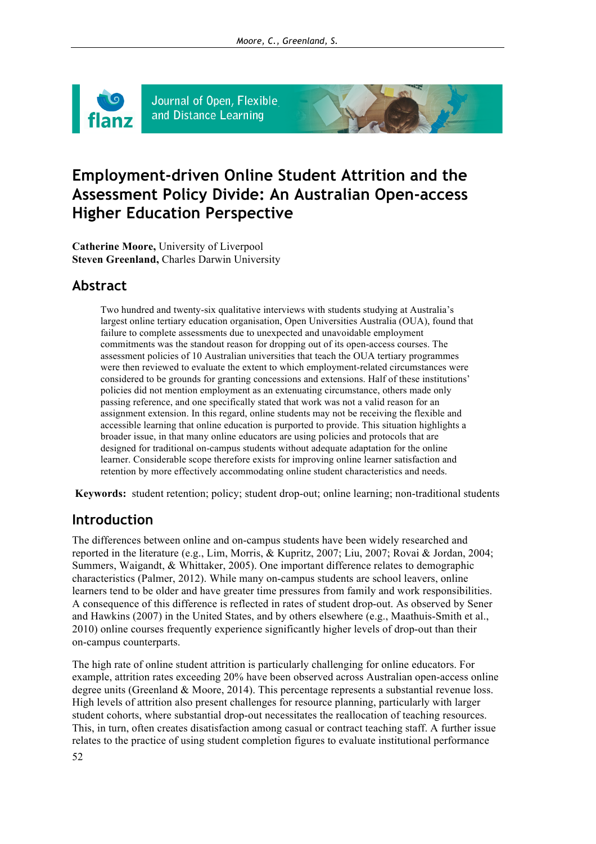

Journal of Open, Flexible and Distance Learning

# **Employment-driven Online Student Attrition and the Assessment Policy Divide: An Australian Open-access Higher Education Perspective**

**Catherine Moore,** University of Liverpool **Steven Greenland, Charles Darwin University** 

# **Abstract**

Two hundred and twenty-six qualitative interviews with students studying at Australia's largest online tertiary education organisation, Open Universities Australia (OUA), found that failure to complete assessments due to unexpected and unavoidable employment commitments was the standout reason for dropping out of its open-access courses. The assessment policies of 10 Australian universities that teach the OUA tertiary programmes were then reviewed to evaluate the extent to which employment-related circumstances were considered to be grounds for granting concessions and extensions. Half of these institutions' policies did not mention employment as an extenuating circumstance, others made only passing reference, and one specifically stated that work was not a valid reason for an assignment extension. In this regard, online students may not be receiving the flexible and accessible learning that online education is purported to provide. This situation highlights a broader issue, in that many online educators are using policies and protocols that are designed for traditional on-campus students without adequate adaptation for the online learner. Considerable scope therefore exists for improving online learner satisfaction and retention by more effectively accommodating online student characteristics and needs.

**Keywords:** student retention; policy; student drop-out; online learning; non-traditional students

# **Introduction**

The differences between online and on-campus students have been widely researched and reported in the literature (e.g., Lim, Morris, & Kupritz, 2007; Liu, 2007; Rovai & Jordan, 2004; Summers, Waigandt, & Whittaker, 2005). One important difference relates to demographic characteristics (Palmer, 2012). While many on-campus students are school leavers, online learners tend to be older and have greater time pressures from family and work responsibilities. A consequence of this difference is reflected in rates of student drop-out. As observed by Sener and Hawkins (2007) in the United States, and by others elsewhere (e.g., Maathuis-Smith et al., 2010) online courses frequently experience significantly higher levels of drop-out than their on-campus counterparts.

The high rate of online student attrition is particularly challenging for online educators. For example, attrition rates exceeding 20% have been observed across Australian open-access online degree units (Greenland & Moore, 2014). This percentage represents a substantial revenue loss. High levels of attrition also present challenges for resource planning, particularly with larger student cohorts, where substantial drop-out necessitates the reallocation of teaching resources. This, in turn, often creates disatisfaction among casual or contract teaching staff. A further issue relates to the practice of using student completion figures to evaluate institutional performance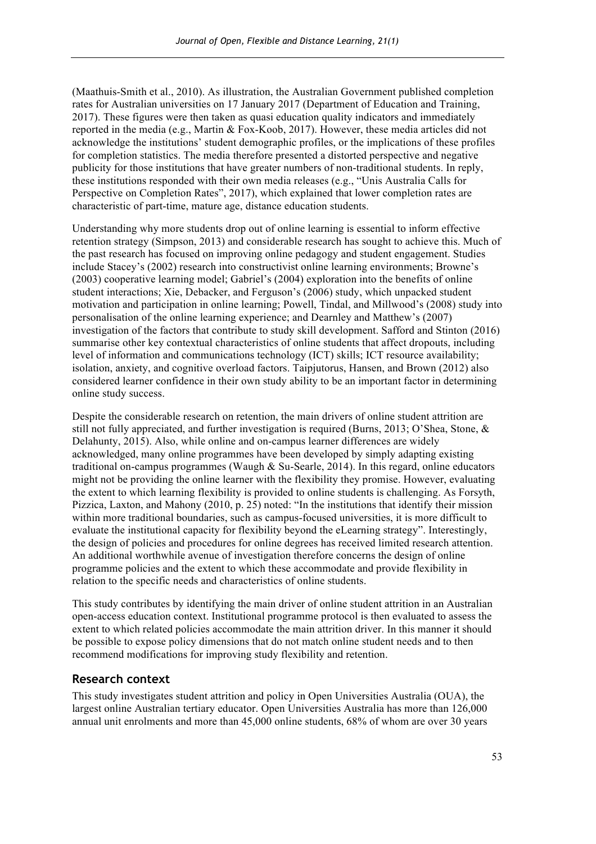(Maathuis-Smith et al., 2010). As illustration, the Australian Government published completion rates for Australian universities on 17 January 2017 (Department of Education and Training, 2017). These figures were then taken as quasi education quality indicators and immediately reported in the media (e.g., Martin & Fox-Koob, 2017). However, these media articles did not acknowledge the institutions' student demographic profiles, or the implications of these profiles for completion statistics. The media therefore presented a distorted perspective and negative publicity for those institutions that have greater numbers of non-traditional students. In reply, these institutions responded with their own media releases (e.g., "Unis Australia Calls for Perspective on Completion Rates", 2017), which explained that lower completion rates are characteristic of part-time, mature age, distance education students.

Understanding why more students drop out of online learning is essential to inform effective retention strategy (Simpson, 2013) and considerable research has sought to achieve this. Much of the past research has focused on improving online pedagogy and student engagement. Studies include Stacey's (2002) research into constructivist online learning environments; Browne's (2003) cooperative learning model; Gabriel's (2004) exploration into the benefits of online student interactions; Xie, Debacker, and Ferguson's (2006) study, which unpacked student motivation and participation in online learning; Powell, Tindal, and Millwood's (2008) study into personalisation of the online learning experience; and Dearnley and Matthew's (2007) investigation of the factors that contribute to study skill development. Safford and Stinton (2016) summarise other key contextual characteristics of online students that affect dropouts, including level of information and communications technology (ICT) skills; ICT resource availability; isolation, anxiety, and cognitive overload factors. Taipjutorus, Hansen, and Brown (2012) also considered learner confidence in their own study ability to be an important factor in determining online study success.

Despite the considerable research on retention, the main drivers of online student attrition are still not fully appreciated, and further investigation is required (Burns, 2013; O'Shea, Stone, & Delahunty, 2015). Also, while online and on-campus learner differences are widely acknowledged, many online programmes have been developed by simply adapting existing traditional on-campus programmes (Waugh & Su-Searle, 2014). In this regard, online educators might not be providing the online learner with the flexibility they promise. However, evaluating the extent to which learning flexibility is provided to online students is challenging. As Forsyth, Pizzica, Laxton, and Mahony (2010, p. 25) noted: "In the institutions that identify their mission within more traditional boundaries, such as campus-focused universities, it is more difficult to evaluate the institutional capacity for flexibility beyond the eLearning strategy". Interestingly, the design of policies and procedures for online degrees has received limited research attention. An additional worthwhile avenue of investigation therefore concerns the design of online programme policies and the extent to which these accommodate and provide flexibility in relation to the specific needs and characteristics of online students.

This study contributes by identifying the main driver of online student attrition in an Australian open-access education context. Institutional programme protocol is then evaluated to assess the extent to which related policies accommodate the main attrition driver. In this manner it should be possible to expose policy dimensions that do not match online student needs and to then recommend modifications for improving study flexibility and retention.

### **Research context**

This study investigates student attrition and policy in Open Universities Australia (OUA), the largest online Australian tertiary educator. Open Universities Australia has more than 126,000 annual unit enrolments and more than 45,000 online students, 68% of whom are over 30 years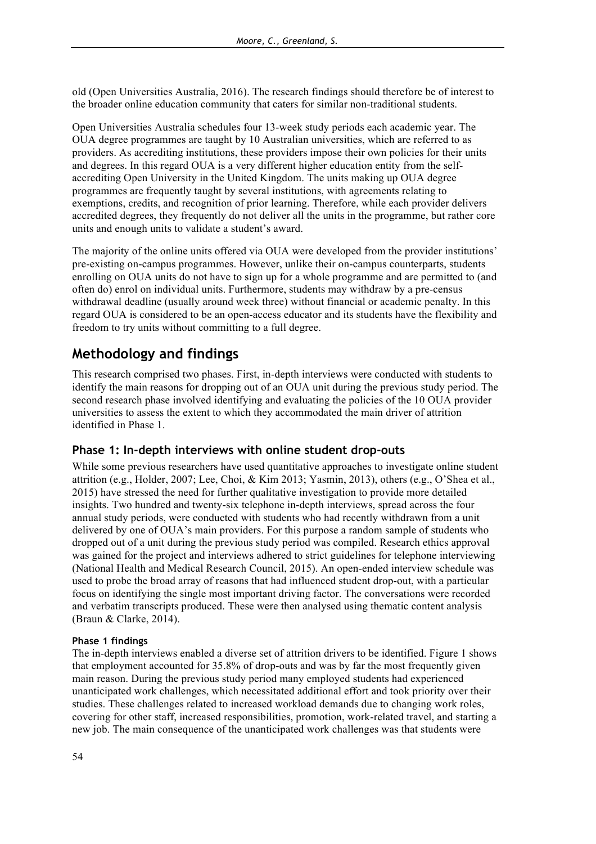old (Open Universities Australia, 2016). The research findings should therefore be of interest to the broader online education community that caters for similar non-traditional students.

Open Universities Australia schedules four 13-week study periods each academic year. The OUA degree programmes are taught by 10 Australian universities, which are referred to as providers. As accrediting institutions, these providers impose their own policies for their units and degrees. In this regard OUA is a very different higher education entity from the selfaccrediting Open University in the United Kingdom. The units making up OUA degree programmes are frequently taught by several institutions, with agreements relating to exemptions, credits, and recognition of prior learning. Therefore, while each provider delivers accredited degrees, they frequently do not deliver all the units in the programme, but rather core units and enough units to validate a student's award.

The majority of the online units offered via OUA were developed from the provider institutions' pre-existing on-campus programmes. However, unlike their on-campus counterparts, students enrolling on OUA units do not have to sign up for a whole programme and are permitted to (and often do) enrol on individual units. Furthermore, students may withdraw by a pre-census withdrawal deadline (usually around week three) without financial or academic penalty. In this regard OUA is considered to be an open-access educator and its students have the flexibility and freedom to try units without committing to a full degree.

# **Methodology and findings**

This research comprised two phases. First, in-depth interviews were conducted with students to identify the main reasons for dropping out of an OUA unit during the previous study period. The second research phase involved identifying and evaluating the policies of the 10 OUA provider universities to assess the extent to which they accommodated the main driver of attrition identified in Phase 1.

### **Phase 1: In-depth interviews with online student drop-outs**

While some previous researchers have used quantitative approaches to investigate online student attrition (e.g., Holder, 2007; Lee, Choi, & Kim 2013; Yasmin, 2013), others (e.g., O'Shea et al., 2015) have stressed the need for further qualitative investigation to provide more detailed insights. Two hundred and twenty-six telephone in-depth interviews, spread across the four annual study periods, were conducted with students who had recently withdrawn from a unit delivered by one of OUA's main providers. For this purpose a random sample of students who dropped out of a unit during the previous study period was compiled. Research ethics approval was gained for the project and interviews adhered to strict guidelines for telephone interviewing (National Health and Medical Research Council, 2015). An open-ended interview schedule was used to probe the broad array of reasons that had influenced student drop-out, with a particular focus on identifying the single most important driving factor. The conversations were recorded and verbatim transcripts produced. These were then analysed using thematic content analysis (Braun & Clarke, 2014).

#### **Phase 1 findings**

The in-depth interviews enabled a diverse set of attrition drivers to be identified. Figure 1 shows that employment accounted for 35.8% of drop-outs and was by far the most frequently given main reason. During the previous study period many employed students had experienced unanticipated work challenges, which necessitated additional effort and took priority over their studies. These challenges related to increased workload demands due to changing work roles, covering for other staff, increased responsibilities, promotion, work-related travel, and starting a new job. The main consequence of the unanticipated work challenges was that students were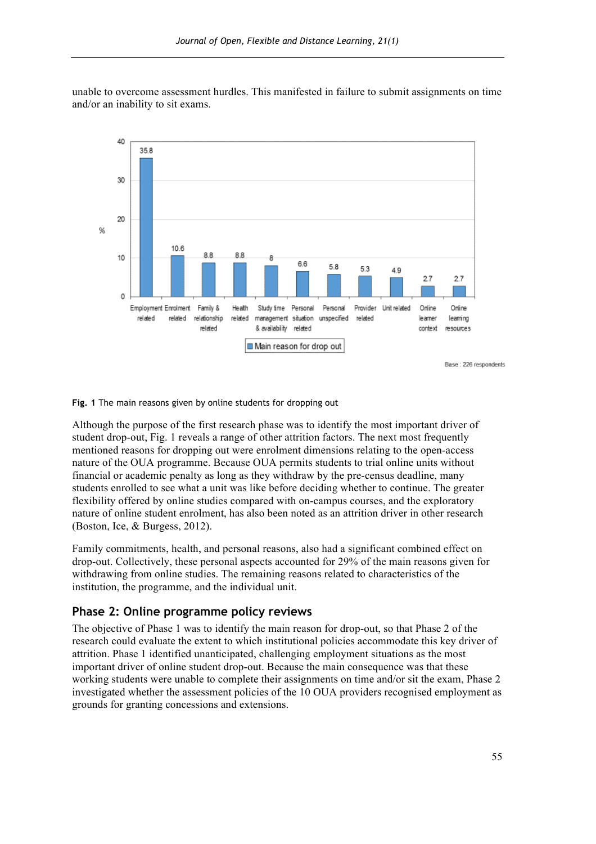

unable to overcome assessment hurdles. This manifested in failure to submit assignments on time and/or an inability to sit exams.

**Fig. 1** The main reasons given by online students for dropping out

Although the purpose of the first research phase was to identify the most important driver of student drop-out, Fig. 1 reveals a range of other attrition factors. The next most frequently mentioned reasons for dropping out were enrolment dimensions relating to the open-access nature of the OUA programme. Because OUA permits students to trial online units without financial or academic penalty as long as they withdraw by the pre-census deadline, many students enrolled to see what a unit was like before deciding whether to continue. The greater flexibility offered by online studies compared with on-campus courses, and the exploratory nature of online student enrolment, has also been noted as an attrition driver in other research (Boston, Ice, & Burgess, 2012).

Family commitments, health, and personal reasons, also had a significant combined effect on drop-out. Collectively, these personal aspects accounted for 29% of the main reasons given for withdrawing from online studies. The remaining reasons related to characteristics of the institution, the programme, and the individual unit.

### **Phase 2: Online programme policy reviews**

The objective of Phase 1 was to identify the main reason for drop-out, so that Phase 2 of the research could evaluate the extent to which institutional policies accommodate this key driver of attrition. Phase 1 identified unanticipated, challenging employment situations as the most important driver of online student drop-out. Because the main consequence was that these working students were unable to complete their assignments on time and/or sit the exam, Phase 2 investigated whether the assessment policies of the 10 OUA providers recognised employment as grounds for granting concessions and extensions.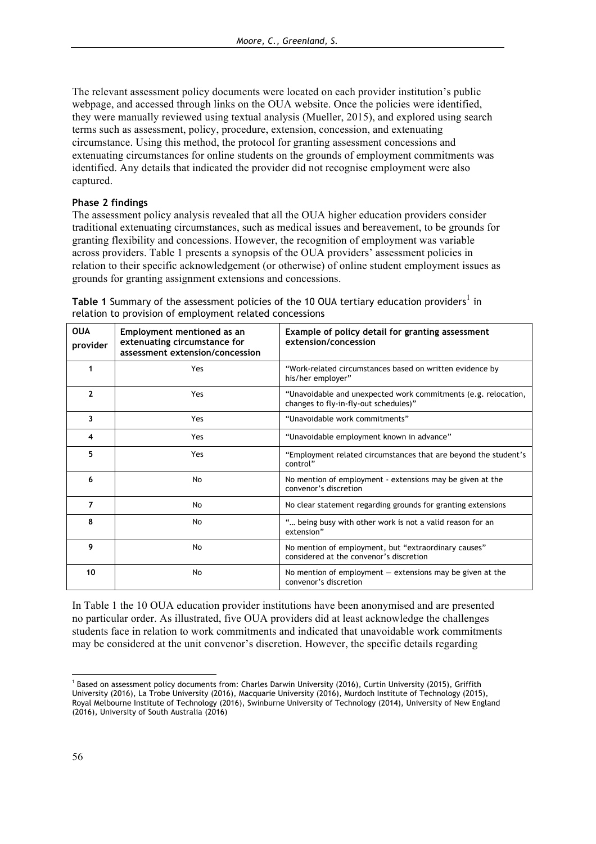The relevant assessment policy documents were located on each provider institution's public webpage, and accessed through links on the OUA website. Once the policies were identified, they were manually reviewed using textual analysis (Mueller, 2015), and explored using search terms such as assessment, policy, procedure, extension, concession, and extenuating circumstance. Using this method, the protocol for granting assessment concessions and extenuating circumstances for online students on the grounds of employment commitments was identified. Any details that indicated the provider did not recognise employment were also captured.

#### **Phase 2 findings**

The assessment policy analysis revealed that all the OUA higher education providers consider traditional extenuating circumstances, such as medical issues and bereavement, to be grounds for granting flexibility and concessions. However, the recognition of employment was variable across providers. Table 1 presents a synopsis of the OUA providers' assessment policies in relation to their specific acknowledgement (or otherwise) of online student employment issues as grounds for granting assignment extensions and concessions.

| <b>OUA</b><br>provider | Employment mentioned as an<br>extenuating circumstance for<br>assessment extension/concession | Example of policy detail for granting assessment<br>extension/concession                                |
|------------------------|-----------------------------------------------------------------------------------------------|---------------------------------------------------------------------------------------------------------|
|                        | Yes                                                                                           | "Work-related circumstances based on written evidence by<br>his/her employer"                           |
| $\mathbf{2}$           | Yes                                                                                           | "Unavoidable and unexpected work commitments (e.g. relocation,<br>changes to fly-in-fly-out schedules)" |
| 3                      | Yes                                                                                           | "Unavoidable work commitments"                                                                          |
| 4                      | Yes                                                                                           | "Unavoidable employment known in advance"                                                               |
| 5                      | Yes                                                                                           | "Employment related circumstances that are beyond the student's<br>control"                             |
| 6                      | No                                                                                            | No mention of employment - extensions may be given at the<br>convenor's discretion                      |
| $\overline{7}$         | No                                                                                            | No clear statement regarding grounds for granting extensions                                            |
| 8                      | No                                                                                            | " being busy with other work is not a valid reason for an<br>extension"                                 |
| 9                      | No                                                                                            | No mention of employment, but "extraordinary causes"<br>considered at the convenor's discretion         |
| 10                     | No                                                                                            | No mention of employment $-$ extensions may be given at the<br>convenor's discretion                    |

**Table 1** Summary of the assessment policies of the 10 OUA tertiary education providers<sup>1</sup> in relation to provision of employment related concessions

In Table 1 the 10 OUA education provider institutions have been anonymised and are presented no particular order. As illustrated, five OUA providers did at least acknowledge the challenges students face in relation to work commitments and indicated that unavoidable work commitments may be considered at the unit convenor's discretion. However, the specific details regarding

 $\overline{a}$ <sup>1</sup> Based on assessment policy documents from: Charles Darwin University (2016), Curtin University (2015), Griffith University (2016), La Trobe University (2016), Macquarie University (2016), Murdoch Institute of Technology (2015), Royal Melbourne Institute of Technology (2016), Swinburne University of Technology (2014), University of New England (2016), University of South Australia (2016)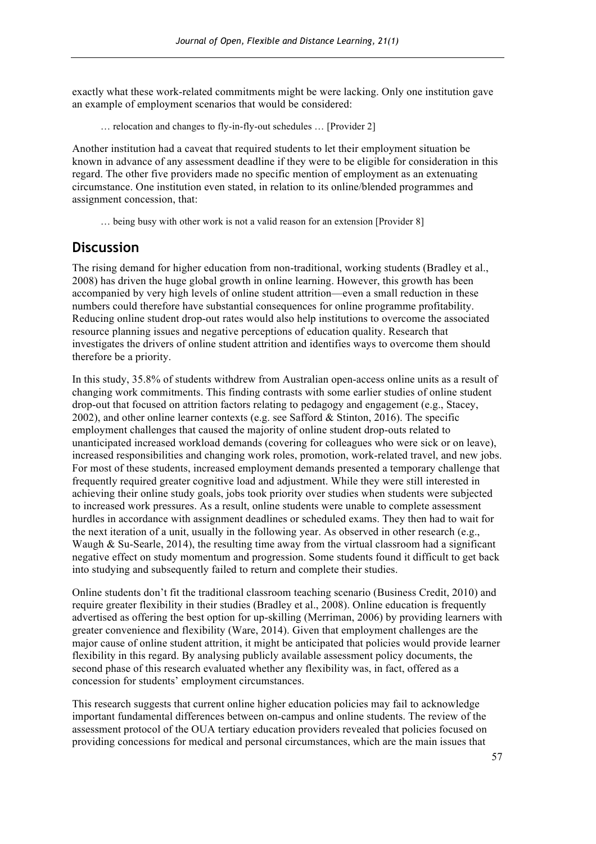exactly what these work-related commitments might be were lacking. Only one institution gave an example of employment scenarios that would be considered:

… relocation and changes to fly-in-fly-out schedules … [Provider 2]

Another institution had a caveat that required students to let their employment situation be known in advance of any assessment deadline if they were to be eligible for consideration in this regard. The other five providers made no specific mention of employment as an extenuating circumstance. One institution even stated, in relation to its online/blended programmes and assignment concession, that:

… being busy with other work is not a valid reason for an extension [Provider 8]

### **Discussion**

The rising demand for higher education from non-traditional, working students (Bradley et al., 2008) has driven the huge global growth in online learning. However, this growth has been accompanied by very high levels of online student attrition—even a small reduction in these numbers could therefore have substantial consequences for online programme profitability. Reducing online student drop-out rates would also help institutions to overcome the associated resource planning issues and negative perceptions of education quality. Research that investigates the drivers of online student attrition and identifies ways to overcome them should therefore be a priority.

In this study, 35.8% of students withdrew from Australian open-access online units as a result of changing work commitments. This finding contrasts with some earlier studies of online student drop-out that focused on attrition factors relating to pedagogy and engagement (e.g., Stacey, 2002), and other online learner contexts (e.g. see Safford & Stinton, 2016). The specific employment challenges that caused the majority of online student drop-outs related to unanticipated increased workload demands (covering for colleagues who were sick or on leave), increased responsibilities and changing work roles, promotion, work-related travel, and new jobs. For most of these students, increased employment demands presented a temporary challenge that frequently required greater cognitive load and adjustment. While they were still interested in achieving their online study goals, jobs took priority over studies when students were subjected to increased work pressures. As a result, online students were unable to complete assessment hurdles in accordance with assignment deadlines or scheduled exams. They then had to wait for the next iteration of a unit, usually in the following year. As observed in other research (e.g., Waugh  $\&$  Su-Searle, 2014), the resulting time away from the virtual classroom had a significant negative effect on study momentum and progression. Some students found it difficult to get back into studying and subsequently failed to return and complete their studies.

Online students don't fit the traditional classroom teaching scenario (Business Credit, 2010) and require greater flexibility in their studies (Bradley et al., 2008). Online education is frequently advertised as offering the best option for up-skilling (Merriman, 2006) by providing learners with greater convenience and flexibility (Ware, 2014). Given that employment challenges are the major cause of online student attrition, it might be anticipated that policies would provide learner flexibility in this regard. By analysing publicly available assessment policy documents, the second phase of this research evaluated whether any flexibility was, in fact, offered as a concession for students' employment circumstances.

This research suggests that current online higher education policies may fail to acknowledge important fundamental differences between on-campus and online students. The review of the assessment protocol of the OUA tertiary education providers revealed that policies focused on providing concessions for medical and personal circumstances, which are the main issues that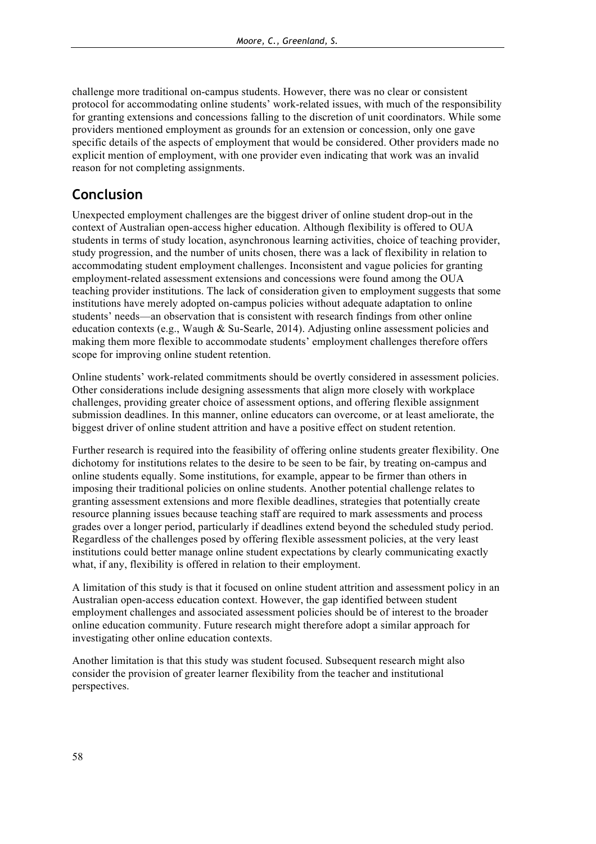challenge more traditional on-campus students. However, there was no clear or consistent protocol for accommodating online students' work-related issues, with much of the responsibility for granting extensions and concessions falling to the discretion of unit coordinators. While some providers mentioned employment as grounds for an extension or concession, only one gave specific details of the aspects of employment that would be considered. Other providers made no explicit mention of employment, with one provider even indicating that work was an invalid reason for not completing assignments.

# **Conclusion**

Unexpected employment challenges are the biggest driver of online student drop-out in the context of Australian open-access higher education. Although flexibility is offered to OUA students in terms of study location, asynchronous learning activities, choice of teaching provider, study progression, and the number of units chosen, there was a lack of flexibility in relation to accommodating student employment challenges. Inconsistent and vague policies for granting employment-related assessment extensions and concessions were found among the OUA teaching provider institutions. The lack of consideration given to employment suggests that some institutions have merely adopted on-campus policies without adequate adaptation to online students' needs—an observation that is consistent with research findings from other online education contexts (e.g., Waugh & Su-Searle, 2014). Adjusting online assessment policies and making them more flexible to accommodate students' employment challenges therefore offers scope for improving online student retention.

Online students' work-related commitments should be overtly considered in assessment policies. Other considerations include designing assessments that align more closely with workplace challenges, providing greater choice of assessment options, and offering flexible assignment submission deadlines. In this manner, online educators can overcome, or at least ameliorate, the biggest driver of online student attrition and have a positive effect on student retention.

Further research is required into the feasibility of offering online students greater flexibility. One dichotomy for institutions relates to the desire to be seen to be fair, by treating on-campus and online students equally. Some institutions, for example, appear to be firmer than others in imposing their traditional policies on online students. Another potential challenge relates to granting assessment extensions and more flexible deadlines, strategies that potentially create resource planning issues because teaching staff are required to mark assessments and process grades over a longer period, particularly if deadlines extend beyond the scheduled study period. Regardless of the challenges posed by offering flexible assessment policies, at the very least institutions could better manage online student expectations by clearly communicating exactly what, if any, flexibility is offered in relation to their employment.

A limitation of this study is that it focused on online student attrition and assessment policy in an Australian open-access education context. However, the gap identified between student employment challenges and associated assessment policies should be of interest to the broader online education community. Future research might therefore adopt a similar approach for investigating other online education contexts.

Another limitation is that this study was student focused. Subsequent research might also consider the provision of greater learner flexibility from the teacher and institutional perspectives.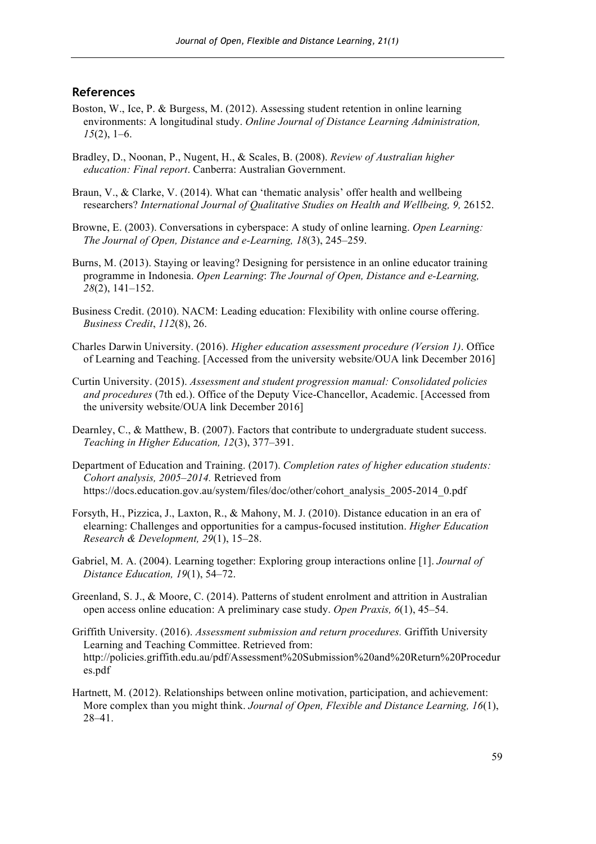#### **References**

- Boston, W., Ice, P. & Burgess, M. (2012). Assessing student retention in online learning environments: A longitudinal study. *Online Journal of Distance Learning Administration, 15*(2), 1–6.
- Bradley, D., Noonan, P., Nugent, H., & Scales, B. (2008). *Review of Australian higher education: Final report*. Canberra: Australian Government.
- Braun, V., & Clarke, V. (2014). What can 'thematic analysis' offer health and wellbeing researchers? *International Journal of Qualitative Studies on Health and Wellbeing, 9,* 26152.
- Browne, E. (2003). Conversations in cyberspace: A study of online learning. *Open Learning: The Journal of Open, Distance and e-Learning, 18*(3), 245–259.
- Burns, M. (2013). Staying or leaving? Designing for persistence in an online educator training programme in Indonesia. *Open Learning*: *The Journal of Open, Distance and e-Learning, 28*(2), 141–152.
- Business Credit. (2010). NACM: Leading education: Flexibility with online course offering. *Business Credit*, *112*(8), 26.
- Charles Darwin University. (2016). *Higher education assessment procedure (Version 1)*. Office of Learning and Teaching. [Accessed from the university website/OUA link December 2016]
- Curtin University. (2015). *Assessment and student progression manual: Consolidated policies and procedures* (7th ed.). Office of the Deputy Vice-Chancellor, Academic. [Accessed from the university website/OUA link December 2016]
- Dearnley, C., & Matthew, B. (2007). Factors that contribute to undergraduate student success. *Teaching in Higher Education, 12*(3), 377–391.
- Department of Education and Training. (2017). *Completion rates of higher education students: Cohort analysis, 2005–2014.* Retrieved from https://docs.education.gov.au/system/files/doc/other/cohort\_analysis\_2005-2014\_0.pdf
- Forsyth, H., Pizzica, J., Laxton, R., & Mahony, M. J. (2010). Distance education in an era of elearning: Challenges and opportunities for a campus-focused institution. *Higher Education Research & Development, 29*(1), 15–28.
- Gabriel, M. A. (2004). Learning together: Exploring group interactions online [1]. *Journal of Distance Education, 19*(1), 54–72.
- Greenland, S. J., & Moore, C. (2014). Patterns of student enrolment and attrition in Australian open access online education: A preliminary case study. *Open Praxis, 6*(1), 45–54.
- Griffith University. (2016). *Assessment submission and return procedures.* Griffith University Learning and Teaching Committee. Retrieved from: http://policies.griffith.edu.au/pdf/Assessment%20Submission%20and%20Return%20Procedur es.pdf
- Hartnett, M. (2012). Relationships between online motivation, participation, and achievement: More complex than you might think. *Journal of Open, Flexible and Distance Learning, 16*(1), 28–41.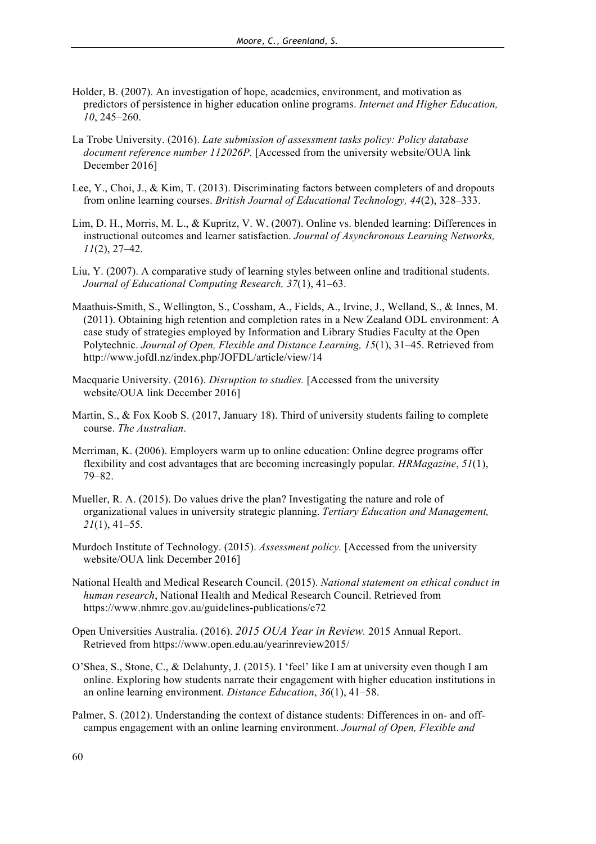- Holder, B. (2007). An investigation of hope, academics, environment, and motivation as predictors of persistence in higher education online programs. *Internet and Higher Education, 10*, 245–260.
- La Trobe University. (2016). *Late submission of assessment tasks policy: Policy database document reference number 112026P.* [Accessed from the university website/OUA link December 2016]
- Lee, Y., Choi, J., & Kim, T. (2013). Discriminating factors between completers of and dropouts from online learning courses. *British Journal of Educational Technology, 44*(2), 328–333.
- Lim, D. H., Morris, M. L., & Kupritz, V. W. (2007). Online vs. blended learning: Differences in instructional outcomes and learner satisfaction. *Journal of Asynchronous Learning Networks, 11*(2), 27–42.
- Liu, Y. (2007). A comparative study of learning styles between online and traditional students. *Journal of Educational Computing Research, 37*(1), 41–63.
- Maathuis-Smith, S., Wellington, S., Cossham, A., Fields, A., Irvine, J., Welland, S., & Innes, M. (2011). Obtaining high retention and completion rates in a New Zealand ODL environment: A case study of strategies employed by Information and Library Studies Faculty at the Open Polytechnic. *Journal of Open, Flexible and Distance Learning, 15*(1), 31–45. Retrieved from http://www.jofdl.nz/index.php/JOFDL/article/view/14
- Macquarie University. (2016). *Disruption to studies.* [Accessed from the university website/OUA link December 2016]
- Martin, S., & Fox Koob S. (2017, January 18). Third of university students failing to complete course. *The Australian*.
- Merriman, K. (2006). Employers warm up to online education: Online degree programs offer flexibility and cost advantages that are becoming increasingly popular. *HRMagazine*, *51*(1), 79–82.
- Mueller, R. A. (2015). Do values drive the plan? Investigating the nature and role of organizational values in university strategic planning. *Tertiary Education and Management, 21*(1), 41–55.
- Murdoch Institute of Technology. (2015). *Assessment policy.* [Accessed from the university website/OUA link December 2016]
- National Health and Medical Research Council. (2015). *National statement on ethical conduct in human research*, National Health and Medical Research Council. Retrieved from https://www.nhmrc.gov.au/guidelines-publications/e72
- Open Universities Australia. (2016). *2015 OUA Year in Review.* 2015 Annual Report. Retrieved from https://www.open.edu.au/yearinreview2015/
- O'Shea, S., Stone, C., & Delahunty, J. (2015). I 'feel' like I am at university even though I am online. Exploring how students narrate their engagement with higher education institutions in an online learning environment. *Distance Education*, *36*(1), 41–58.
- Palmer, S. (2012). Understanding the context of distance students: Differences in on- and offcampus engagement with an online learning environment. *Journal of Open, Flexible and*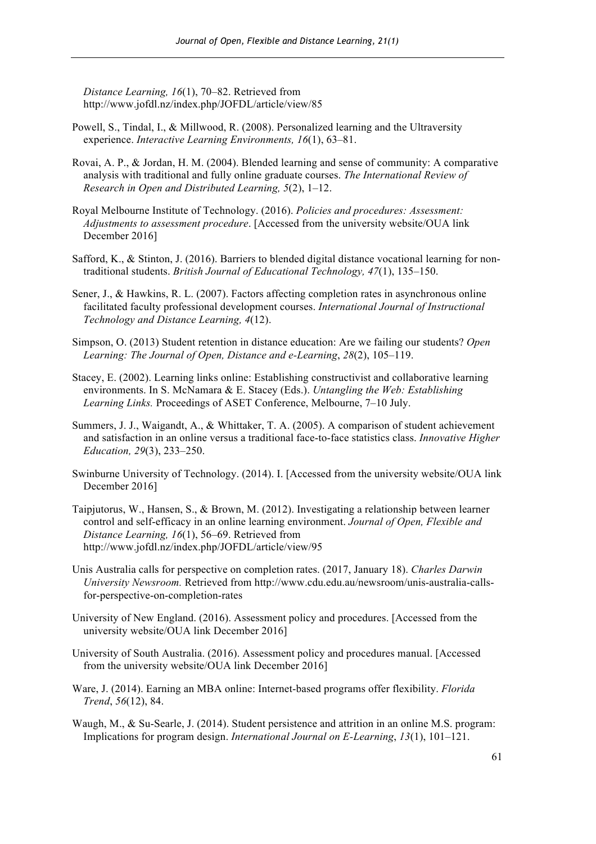*Distance Learning, 16*(1), 70–82. Retrieved from http://www.jofdl.nz/index.php/JOFDL/article/view/85

- Powell, S., Tindal, I., & Millwood, R. (2008). Personalized learning and the Ultraversity experience. *Interactive Learning Environments, 16*(1), 63–81.
- Rovai, A. P., & Jordan, H. M. (2004). Blended learning and sense of community: A comparative analysis with traditional and fully online graduate courses. *The International Review of Research in Open and Distributed Learning, 5*(2), 1–12.
- Royal Melbourne Institute of Technology. (2016). *Policies and procedures: Assessment: Adjustments to assessment procedure*. [Accessed from the university website/OUA link December 2016]
- Safford, K., & Stinton, J. (2016). Barriers to blended digital distance vocational learning for nontraditional students. *British Journal of Educational Technology, 47*(1), 135–150.
- Sener, J., & Hawkins, R. L. (2007). Factors affecting completion rates in asynchronous online facilitated faculty professional development courses. *International Journal of Instructional Technology and Distance Learning, 4*(12).
- Simpson, O. (2013) Student retention in distance education: Are we failing our students? *Open Learning: The Journal of Open, Distance and e-Learning*, *28*(2), 105–119.
- Stacey, E. (2002). Learning links online: Establishing constructivist and collaborative learning environments. In S. McNamara & E. Stacey (Eds.). *Untangling the Web: Establishing Learning Links.* Proceedings of ASET Conference, Melbourne, 7–10 July.
- Summers, J. J., Waigandt, A., & Whittaker, T. A. (2005). A comparison of student achievement and satisfaction in an online versus a traditional face-to-face statistics class. *Innovative Higher Education, 29*(3), 233–250.
- Swinburne University of Technology. (2014). I. [Accessed from the university website/OUA link December 2016]
- Taipjutorus, W., Hansen, S., & Brown, M. (2012). Investigating a relationship between learner control and self-efficacy in an online learning environment. *Journal of Open, Flexible and Distance Learning, 16*(1), 56–69. Retrieved from http://www.jofdl.nz/index.php/JOFDL/article/view/95
- Unis Australia calls for perspective on completion rates. (2017, January 18). *Charles Darwin University Newsroom.* Retrieved from http://www.cdu.edu.au/newsroom/unis-australia-callsfor-perspective-on-completion-rates
- University of New England. (2016). Assessment policy and procedures. [Accessed from the university website/OUA link December 2016]
- University of South Australia. (2016). Assessment policy and procedures manual. [Accessed from the university website/OUA link December 2016]
- Ware, J. (2014). Earning an MBA online: Internet-based programs offer flexibility. *Florida Trend*, *56*(12), 84.
- Waugh, M., & Su-Searle, J. (2014). Student persistence and attrition in an online M.S. program: Implications for program design. *International Journal on E-Learning*, *13*(1), 101–121.